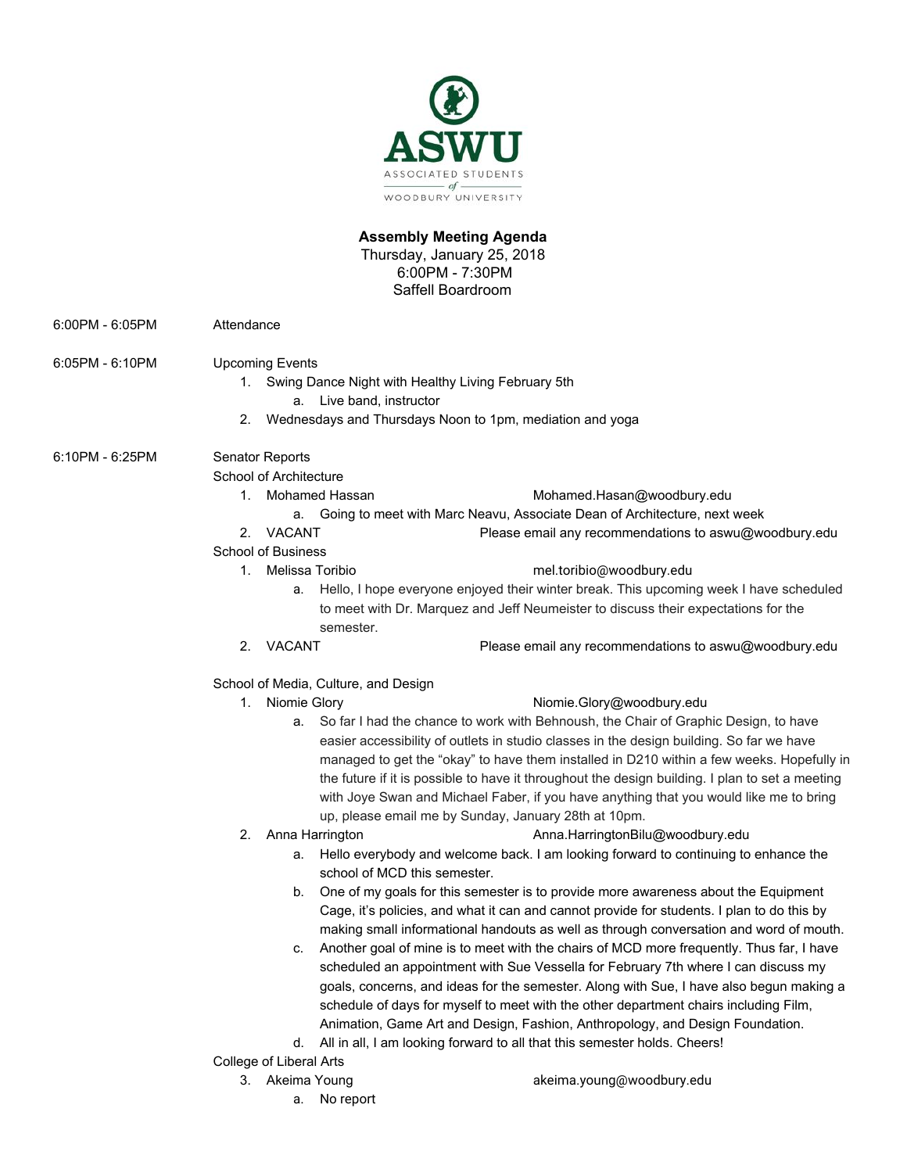

# **Assembly Meeting Agenda**

Thursday, January 25, 2018 6:00PM - 7:30PM Saffell Boardroom

6:00PM - 6:05PM Attendance

6:05PM - 6:10PM Upcoming Events

- 1. Swing Dance Night with Healthy Living February 5th
	- a. Live band, instructor
- 2. Wednesdays and Thursdays Noon to 1pm, mediation and yoga

6:10PM - 6:25PM Senator Reports

School of Architecture

1. Mohamed Hassan [Mohamed.Hasan@woodbury.edu](mailto:Mohamed.Hasan@woodbury.edu)

- a. Going to meet with Marc Neavu, Associate Dean of Architecture, next week
- 2. VACANT Please email any recommendations to aswu@woodbury.edu

### School of Business

### 1. Melissa Toribio mel.toribio@woodbury.edu

- a. Hello, I hope everyone enjoyed their winter break. This upcoming week I have scheduled to meet with Dr. Marquez and Jeff Neumeister to discuss their expectations for the semester.
- 2. VACANT Please email any recommendations to aswu@woodbury.edu

## School of Media, Culture, and Design

## 1. Niomie Glory **Niomie.Glory@woodbury.edu**

- a. So far I had the chance to work with Behnoush, the Chair of Graphic Design, to have easier accessibility of outlets in studio classes in the design building. So far we have managed to get the "okay" to have them installed in D210 within a few weeks. Hopefully in the future if it is possible to have it throughout the design building. I plan to set a meeting with Joye Swan and Michael Faber, if you have anything that you would like me to bring up, please email me by Sunday, January 28th at 10pm.
- 
- 2. Anna Harrington **Anna.HarringtonBilu@woodbury.edu** 
	- a. Hello everybody and welcome back. I am looking forward to continuing to enhance the school of MCD this semester.
	- b. One of my goals for this semester is to provide more awareness about the Equipment Cage, it's policies, and what it can and cannot provide for students. I plan to do this by making small informational handouts as well as through conversation and word of mouth.
	- c. Another goal of mine is to meet with the chairs of MCD more frequently. Thus far, I have scheduled an appointment with Sue Vessella for February 7th where I can discuss my goals, concerns, and ideas for the semester. Along with Sue, I have also begun making a schedule of days for myself to meet with the other department chairs including Film, Animation, Game Art and Design, Fashion, Anthropology, and Design Foundation.
	- d. All in all, I am looking forward to all that this semester holds. Cheers!

College of Liberal Arts

- 
- 3. Akeima Young akeima.young@woodbury.edu
	- a. No report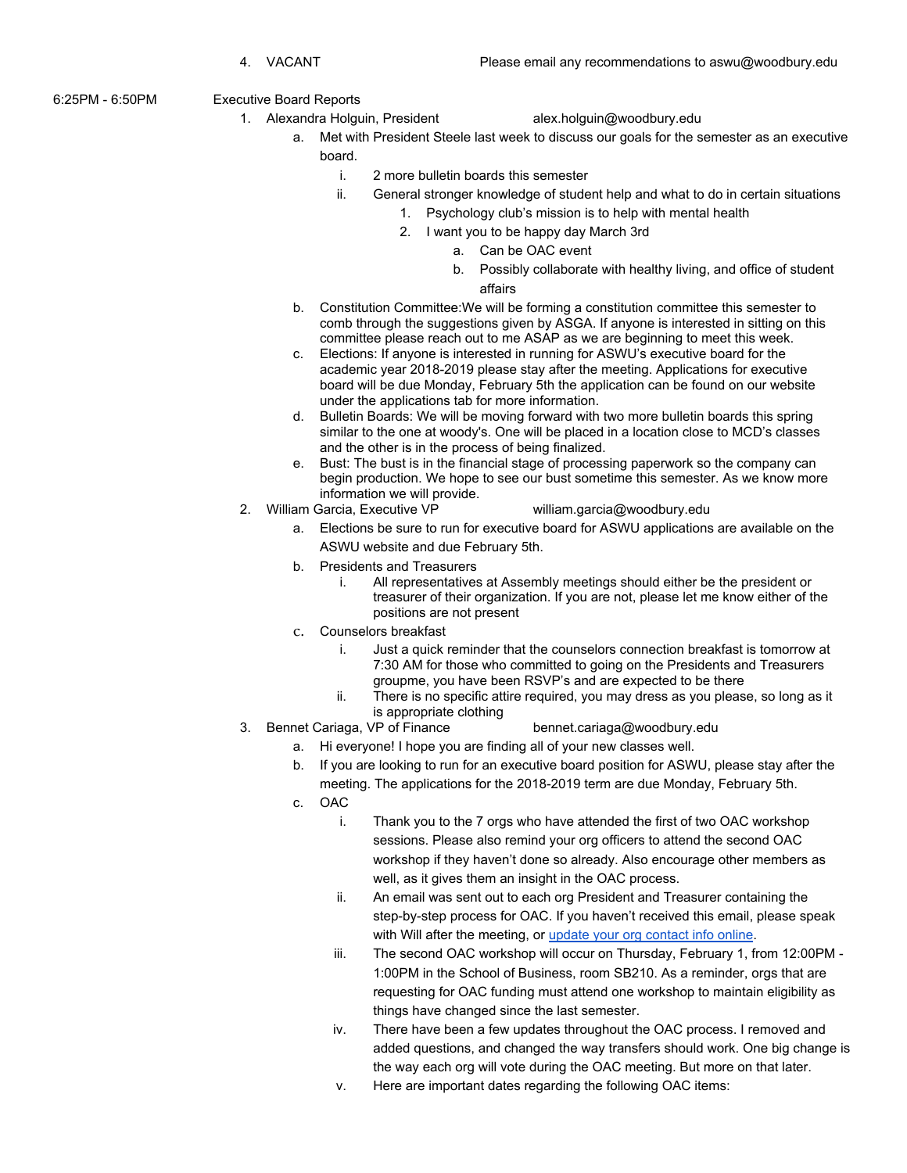6:25PM - 6:50PM Executive Board Reports

1. Alexandra Holguin, President alex.holguin@woodbury.edu

- a. Met with President Steele last week to discuss our goals for the semester as an executive board.
	- i. 2 more bulletin boards this semester
	- ii. General stronger knowledge of student help and what to do in certain situations
		- 1. Psychology club's mission is to help with mental health
			- 2. I want you to be happy day March 3rd
				- a. Can be OAC event
				- b. Possibly collaborate with healthy living, and office of student affairs
	- b. Constitution Committee:We will be forming a constitution committee this semester to comb through the suggestions given by ASGA. If anyone is interested in sitting on this committee please reach out to me ASAP as we are beginning to meet this week.
	- c. Elections: If anyone is interested in running for ASWU's executive board for the academic year 2018-2019 please stay after the meeting. Applications for executive board will be due Monday, February 5th the application can be found on our website under the applications tab for more information.
	- d. Bulletin Boards: We will be moving forward with two more bulletin boards this spring similar to the one at woody's. One will be placed in a location close to MCD's classes and the other is in the process of being finalized.
	- e. Bust: The bust is in the financial stage of processing paperwork so the company can begin production. We hope to see our bust sometime this semester. As we know more information we will provide.
- 2. William Garcia, Executive VP william.garcia@woodbury.edu
	- a. Elections be sure to run for executive board for ASWU applications are available on the ASWU website and due February 5th.
	- b. Presidents and Treasurers
		- i. All representatives at Assembly meetings should either be the president or treasurer of their organization. If you are not, please let me know either of the positions are not present
	- c. Counselors breakfast
		- i. Just a quick reminder that the counselors connection breakfast is tomorrow at 7:30 AM for those who committed to going on the Presidents and Treasurers groupme, you have been RSVP's and are expected to be there
		- ii. There is no specific attire required, you may dress as you please, so long as it is appropriate clothing
- 3. Bennet Cariaga, VP of Finance bennet.cariaga@woodbury.edu
	- a. Hi everyone! I hope you are finding all of your new classes well.
	- b. If you are looking to run for an executive board position for ASWU, please stay after the
		- meeting. The applications for the 2018-2019 term are due Monday, February 5th.
	- c. OAC
		- i. Thank you to the 7 orgs who have attended the first of two OAC workshop sessions. Please also remind your org officers to attend the second OAC workshop if they haven't done so already. Also encourage other members as well, as it gives them an insight in the OAC process.
		- ii. An email was sent out to each org President and Treasurer containing the step-by-step process for OAC. If you haven't received this email, please speak with Will after the meeting, or [update your org contact info online](https://goo.gl/forms/tW3uP7C6cBSLpzPE2).
		- iii. The second OAC workshop will occur on Thursday, February 1, from 12:00PM 1:00PM in the School of Business, room SB210. As a reminder, orgs that are requesting for OAC funding must attend one workshop to maintain eligibility as things have changed since the last semester.
		- iv. There have been a few updates throughout the OAC process. I removed and added questions, and changed the way transfers should work. One big change is the way each org will vote during the OAC meeting. But more on that later.
		- v. Here are important dates regarding the following OAC items: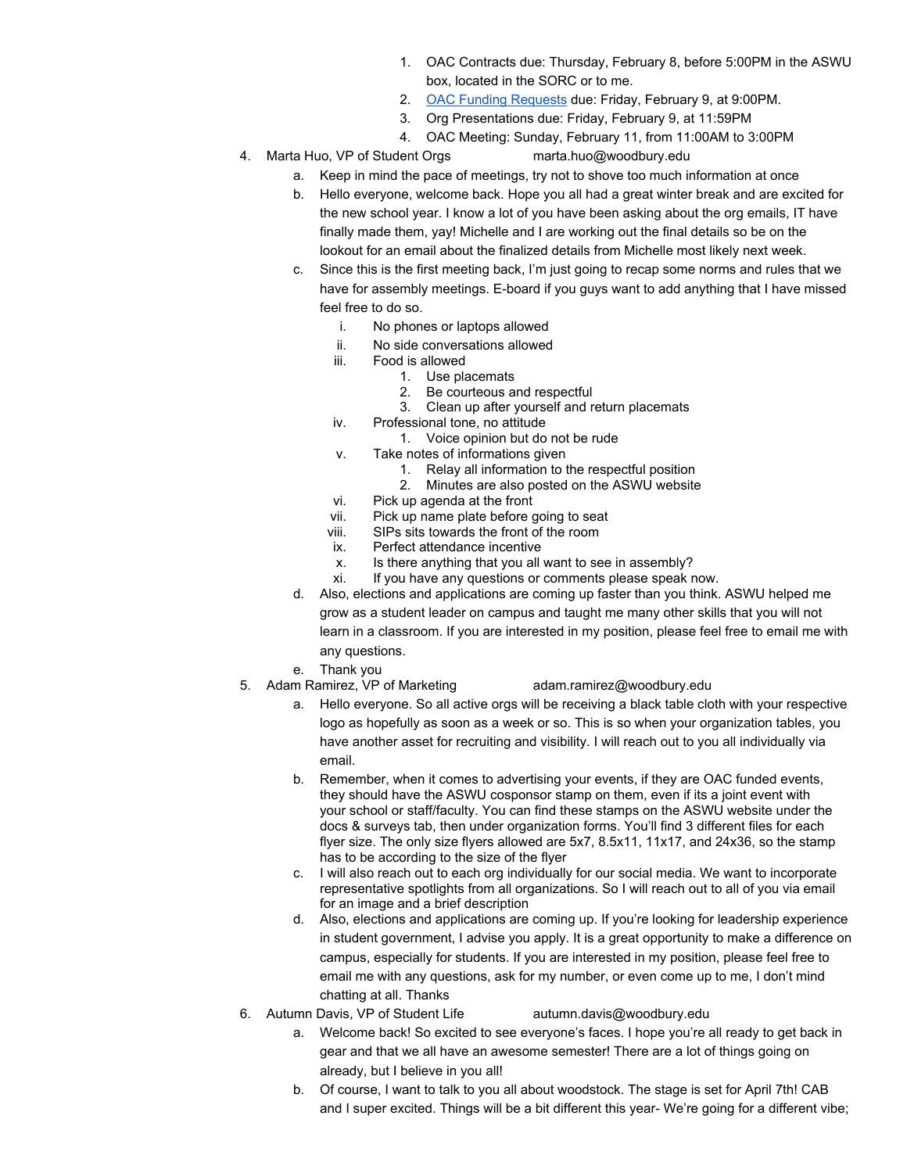- 1. OAC Contracts due: Thursday, February 8, before 5:00PM in the ASWU box, located in the SORC or to me.
- 2. [OAC Funding Requests](https://goo.gl/forms/9LuCX9hzol7W7kdA2) due: Friday, February 9, at 9:00PM.
- 3. Org Presentations due: Friday, February 9, at 11:59PM
- 4. OAC Meeting: Sunday, February 11, from 11:00AM to 3:00PM
- 4. Marta Huo, VP of Student Orgs marta.huo@woodbury.edu
	- a. Keep in mind the pace of meetings, try not to shove too much information at once
	- b. Hello everyone, welcome back. Hope you all had a great winter break and are excited for the new school year. I know a lot of you have been asking about the org emails, IT have finally made them, yay! Michelle and I are working out the final details so be on the lookout for an email about the finalized details from Michelle most likely next week.
	- c. Since this is the first meeting back, I'm just going to recap some norms and rules that we have for assembly meetings. E-board if you guys want to add anything that I have missed feel free to do so.
		- i. No phones or laptops allowed
		- ii. No side conversations allowed<br>iii. Food is allowed
		- Food is allowed
			- 1. Use placemats
			- 2. Be courteous and respectful
			- 3. Clean up after yourself and return placemats
		- iv. Professional tone, no attitude
			- 1. Voice opinion but do not be rude
		- v. Take notes of informations given
			- 1. Relay all information to the respectful position
			- 2. Minutes are also posted on the ASWU website
		- vi. Pick up agenda at the front
		- vii. Pick up name plate before going to seat<br>viii. SIPs sits towards the front of the room
		- SIPs sits towards the front of the room
		- ix. Perfect attendance incentive
		- x. Is there anything that you all want to see in assembly?<br>xi. If you have any questions or comments please speak r
		- If you have any questions or comments please speak now.
	- d. Also, elections and applications are coming up faster than you think. ASWU helped me grow as a student leader on campus and taught me many other skills that you will not learn in a classroom. If you are interested in my position, please feel free to email me with any questions.
	- e. Thank you
- 5. Adam Ramirez, VP of Marketing adam.ramirez@woodbury.edu
	- a. Hello everyone. So all active orgs will be receiving a black table cloth with your respective logo as hopefully as soon as a week or so. This is so when your organization tables, you have another asset for recruiting and visibility. I will reach out to you all individually via email.
	- b. Remember, when it comes to advertising your events, if they are OAC funded events, they should have the ASWU cosponsor stamp on them, even if its a joint event with your school or staff/faculty. You can find these stamps on the ASWU website under the docs & surveys tab, then under organization forms. You'll find 3 different files for each flyer size. The only size flyers allowed are 5x7, 8.5x11, 11x17, and 24x36, so the stamp has to be according to the size of the flyer
	- c. I will also reach out to each org individually for our social media. We want to incorporate representative spotlights from all organizations. So I will reach out to all of you via email for an image and a brief description
	- d. Also, elections and applications are coming up. If you're looking for leadership experience in student government, I advise you apply. It is a great opportunity to make a difference on campus, especially for students. If you are interested in my position, please feel free to email me with any questions, ask for my number, or even come up to me, I don't mind chatting at all. Thanks
- 6. Autumn Davis, VP of Student Life autumn.davis@woodbury.edu
	- a. Welcome back! So excited to see everyone's faces. I hope you're all ready to get back in gear and that we all have an awesome semester! There are a lot of things going on already, but I believe in you all!
	- b. Of course, I want to talk to you all about woodstock. The stage is set for April 7th! CAB and I super excited. Things will be a bit different this year- We're going for a different vibe;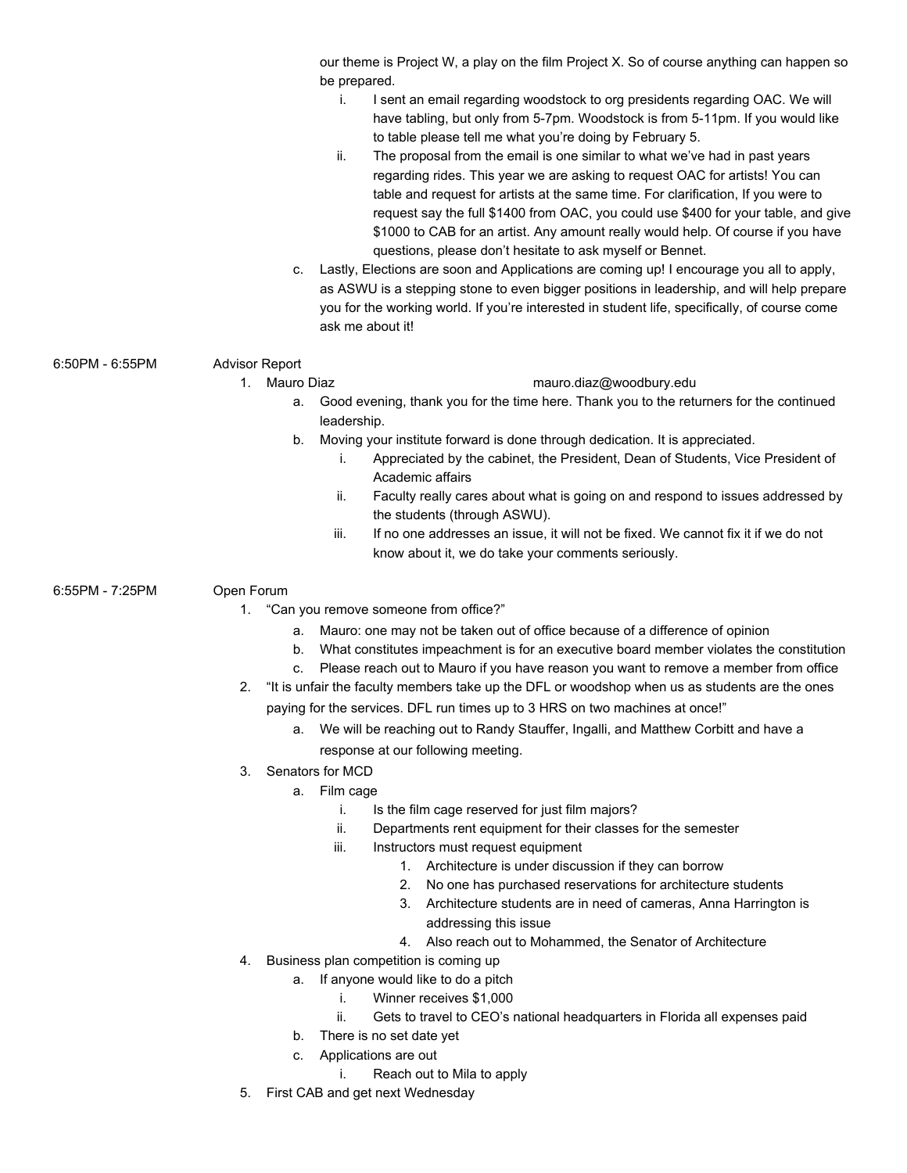|                 | our theme is Project W, a play on the film Project X. So of course anything can happen so<br>be prepared.<br>i.<br>I sent an email regarding woodstock to org presidents regarding OAC. We will<br>have tabling, but only from 5-7pm. Woodstock is from 5-11pm. If you would like<br>to table please tell me what you're doing by February 5.<br>ii.<br>The proposal from the email is one similar to what we've had in past years<br>regarding rides. This year we are asking to request OAC for artists! You can<br>table and request for artists at the same time. For clarification, If you were to<br>request say the full \$1400 from OAC, you could use \$400 for your table, and give<br>\$1000 to CAB for an artist. Any amount really would help. Of course if you have<br>questions, please don't hesitate to ask myself or Bennet.<br>Lastly, Elections are soon and Applications are coming up! I encourage you all to apply,<br>C.<br>as ASWU is a stepping stone to even bigger positions in leadership, and will help prepare<br>you for the working world. If you're interested in student life, specifically, of course come<br>ask me about it! |
|-----------------|--------------------------------------------------------------------------------------------------------------------------------------------------------------------------------------------------------------------------------------------------------------------------------------------------------------------------------------------------------------------------------------------------------------------------------------------------------------------------------------------------------------------------------------------------------------------------------------------------------------------------------------------------------------------------------------------------------------------------------------------------------------------------------------------------------------------------------------------------------------------------------------------------------------------------------------------------------------------------------------------------------------------------------------------------------------------------------------------------------------------------------------------------------------------|
| 6:50PM - 6:55PM | <b>Advisor Report</b>                                                                                                                                                                                                                                                                                                                                                                                                                                                                                                                                                                                                                                                                                                                                                                                                                                                                                                                                                                                                                                                                                                                                              |
|                 | mauro.diaz@woodbury.edu<br>Mauro Diaz<br>1.                                                                                                                                                                                                                                                                                                                                                                                                                                                                                                                                                                                                                                                                                                                                                                                                                                                                                                                                                                                                                                                                                                                        |
|                 | Good evening, thank you for the time here. Thank you to the returners for the continued<br>а.                                                                                                                                                                                                                                                                                                                                                                                                                                                                                                                                                                                                                                                                                                                                                                                                                                                                                                                                                                                                                                                                      |
|                 | leadership.                                                                                                                                                                                                                                                                                                                                                                                                                                                                                                                                                                                                                                                                                                                                                                                                                                                                                                                                                                                                                                                                                                                                                        |
|                 | Moving your institute forward is done through dedication. It is appreciated.<br>b.                                                                                                                                                                                                                                                                                                                                                                                                                                                                                                                                                                                                                                                                                                                                                                                                                                                                                                                                                                                                                                                                                 |
|                 | Appreciated by the cabinet, the President, Dean of Students, Vice President of<br>i.                                                                                                                                                                                                                                                                                                                                                                                                                                                                                                                                                                                                                                                                                                                                                                                                                                                                                                                                                                                                                                                                               |
|                 | Academic affairs                                                                                                                                                                                                                                                                                                                                                                                                                                                                                                                                                                                                                                                                                                                                                                                                                                                                                                                                                                                                                                                                                                                                                   |
|                 | Faculty really cares about what is going on and respond to issues addressed by<br>ii.                                                                                                                                                                                                                                                                                                                                                                                                                                                                                                                                                                                                                                                                                                                                                                                                                                                                                                                                                                                                                                                                              |
|                 | the students (through ASWU).                                                                                                                                                                                                                                                                                                                                                                                                                                                                                                                                                                                                                                                                                                                                                                                                                                                                                                                                                                                                                                                                                                                                       |
|                 | If no one addresses an issue, it will not be fixed. We cannot fix it if we do not<br>iii.                                                                                                                                                                                                                                                                                                                                                                                                                                                                                                                                                                                                                                                                                                                                                                                                                                                                                                                                                                                                                                                                          |
|                 | know about it, we do take your comments seriously.                                                                                                                                                                                                                                                                                                                                                                                                                                                                                                                                                                                                                                                                                                                                                                                                                                                                                                                                                                                                                                                                                                                 |
| 6:55PM - 7:25PM | Open Forum                                                                                                                                                                                                                                                                                                                                                                                                                                                                                                                                                                                                                                                                                                                                                                                                                                                                                                                                                                                                                                                                                                                                                         |
|                 | "Can you remove someone from office?"<br>1.                                                                                                                                                                                                                                                                                                                                                                                                                                                                                                                                                                                                                                                                                                                                                                                                                                                                                                                                                                                                                                                                                                                        |
|                 | Mauro: one may not be taken out of office because of a difference of opinion<br>а.                                                                                                                                                                                                                                                                                                                                                                                                                                                                                                                                                                                                                                                                                                                                                                                                                                                                                                                                                                                                                                                                                 |
|                 | What constitutes impeachment is for an executive board member violates the constitution<br>b.                                                                                                                                                                                                                                                                                                                                                                                                                                                                                                                                                                                                                                                                                                                                                                                                                                                                                                                                                                                                                                                                      |
|                 | Please reach out to Mauro if you have reason you want to remove a member from office<br>C.                                                                                                                                                                                                                                                                                                                                                                                                                                                                                                                                                                                                                                                                                                                                                                                                                                                                                                                                                                                                                                                                         |
|                 | "It is unfair the faculty members take up the DFL or woodshop when us as students are the ones<br>2.                                                                                                                                                                                                                                                                                                                                                                                                                                                                                                                                                                                                                                                                                                                                                                                                                                                                                                                                                                                                                                                               |
|                 | paying for the services. DFL run times up to 3 HRS on two machines at once!"                                                                                                                                                                                                                                                                                                                                                                                                                                                                                                                                                                                                                                                                                                                                                                                                                                                                                                                                                                                                                                                                                       |
|                 | We will be reaching out to Randy Stauffer, Ingalli, and Matthew Corbitt and have a<br>а.                                                                                                                                                                                                                                                                                                                                                                                                                                                                                                                                                                                                                                                                                                                                                                                                                                                                                                                                                                                                                                                                           |
|                 | response at our following meeting.                                                                                                                                                                                                                                                                                                                                                                                                                                                                                                                                                                                                                                                                                                                                                                                                                                                                                                                                                                                                                                                                                                                                 |
|                 | Senators for MCD<br>3.                                                                                                                                                                                                                                                                                                                                                                                                                                                                                                                                                                                                                                                                                                                                                                                                                                                                                                                                                                                                                                                                                                                                             |
|                 | Film cage<br>а.                                                                                                                                                                                                                                                                                                                                                                                                                                                                                                                                                                                                                                                                                                                                                                                                                                                                                                                                                                                                                                                                                                                                                    |
|                 | Is the film cage reserved for just film majors?<br>i.                                                                                                                                                                                                                                                                                                                                                                                                                                                                                                                                                                                                                                                                                                                                                                                                                                                                                                                                                                                                                                                                                                              |
|                 | ii.<br>Departments rent equipment for their classes for the semester                                                                                                                                                                                                                                                                                                                                                                                                                                                                                                                                                                                                                                                                                                                                                                                                                                                                                                                                                                                                                                                                                               |
|                 | Instructors must request equipment<br>iii.                                                                                                                                                                                                                                                                                                                                                                                                                                                                                                                                                                                                                                                                                                                                                                                                                                                                                                                                                                                                                                                                                                                         |
|                 | Architecture is under discussion if they can borrow<br>1.                                                                                                                                                                                                                                                                                                                                                                                                                                                                                                                                                                                                                                                                                                                                                                                                                                                                                                                                                                                                                                                                                                          |
|                 | No one has purchased reservations for architecture students<br>2.                                                                                                                                                                                                                                                                                                                                                                                                                                                                                                                                                                                                                                                                                                                                                                                                                                                                                                                                                                                                                                                                                                  |
|                 | Architecture students are in need of cameras, Anna Harrington is<br>3.                                                                                                                                                                                                                                                                                                                                                                                                                                                                                                                                                                                                                                                                                                                                                                                                                                                                                                                                                                                                                                                                                             |
|                 | addressing this issue                                                                                                                                                                                                                                                                                                                                                                                                                                                                                                                                                                                                                                                                                                                                                                                                                                                                                                                                                                                                                                                                                                                                              |
|                 | Also reach out to Mohammed, the Senator of Architecture<br>4.<br>Business plan competition is coming up<br>4.                                                                                                                                                                                                                                                                                                                                                                                                                                                                                                                                                                                                                                                                                                                                                                                                                                                                                                                                                                                                                                                      |
|                 | If anyone would like to do a pitch<br>а.                                                                                                                                                                                                                                                                                                                                                                                                                                                                                                                                                                                                                                                                                                                                                                                                                                                                                                                                                                                                                                                                                                                           |
|                 | i.<br>Winner receives \$1,000                                                                                                                                                                                                                                                                                                                                                                                                                                                                                                                                                                                                                                                                                                                                                                                                                                                                                                                                                                                                                                                                                                                                      |
|                 | ii.<br>Gets to travel to CEO's national headquarters in Florida all expenses paid                                                                                                                                                                                                                                                                                                                                                                                                                                                                                                                                                                                                                                                                                                                                                                                                                                                                                                                                                                                                                                                                                  |
|                 | There is no set date yet<br>b.                                                                                                                                                                                                                                                                                                                                                                                                                                                                                                                                                                                                                                                                                                                                                                                                                                                                                                                                                                                                                                                                                                                                     |
|                 | Applications are out<br>c.                                                                                                                                                                                                                                                                                                                                                                                                                                                                                                                                                                                                                                                                                                                                                                                                                                                                                                                                                                                                                                                                                                                                         |
|                 | Reach out to Mila to apply<br>İ.                                                                                                                                                                                                                                                                                                                                                                                                                                                                                                                                                                                                                                                                                                                                                                                                                                                                                                                                                                                                                                                                                                                                   |
|                 | First CAB and get next Wednesday<br>5.                                                                                                                                                                                                                                                                                                                                                                                                                                                                                                                                                                                                                                                                                                                                                                                                                                                                                                                                                                                                                                                                                                                             |